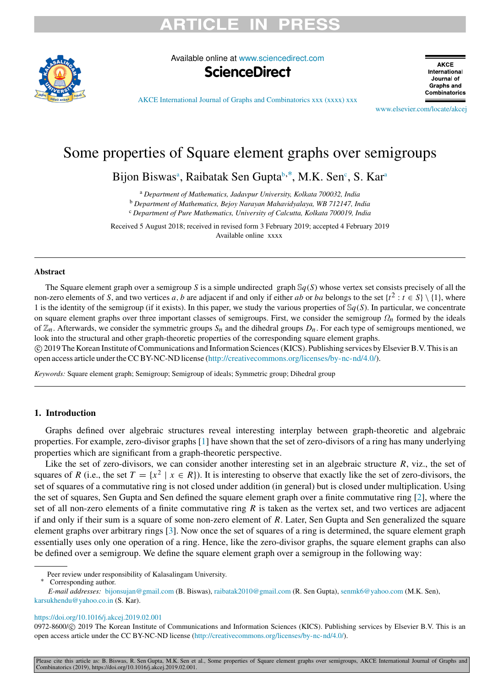# TICI E II



Available online at [www.sciencedirect.com](http://www.elsevier.com/locate/akcej)



**AKCE** International Journal of **Graphs and** Combinatorics

[AKCE International Journal of Graphs and Combinatorics xxx \(xxxx\) xxx](https://doi.org/10.1016/j.akcej.2019.02.001)

[www.elsevier.com/locate/akcej](http://www.elsevier.com/locate/akcej)

## Some properties of Square element graphs over semigroups

Bijon Bisw[a](#page-0-0)s<sup>a</sup>, Rai[b](#page-0-1)atak Sen Gupta<sup>b,\*</sup>, M.K. Sen<sup>[c](#page-0-3)</sup>, S. Kar<sup>a</sup>

<span id="page-0-0"></span><sup>a</sup> *Department of Mathematics, Jadavpur University, Kolkata 700032, India*

<span id="page-0-1"></span><sup>b</sup> *Department of Mathematics, Bejoy Narayan Mahavidyalaya, WB 712147, India*

<span id="page-0-3"></span><sup>c</sup> *Department of Pure Mathematics, University of Calcutta, Kolkata 700019, India*

Received 5 August 2018; received in revised form 3 February 2019; accepted 4 February 2019 Available online xxxx

### Abstract

The Square element graph over a semigroup *S* is a simple undirected graph S*q*(*S*) whose vertex set consists precisely of all the non-zero elements of *S*, and two vertices *a*, *b* are adjacent if and only if either *ab* or *ba* belongs to the set  $\{t^2 : t \in S\} \setminus \{1\}$ , where 1 is the identity of the semigroup (if it exists). In this paper, we study the various properties of  $\mathcal{S}_q(S)$ . In particular, we concentrate on square element graphs over three important classes of semigroups. First, we consider the semigroup Ω*n* formed by the ideals of  $\mathbb{Z}_n$ . Afterwards, we consider the symmetric groups  $S_n$  and the dihedral groups  $D_n$ . For each type of semigroups mentioned, we look into the structural and other graph-theoretic properties of the corresponding square element graphs.

⃝c 2019 The Korean Institute of Communications and Information Sciences (KICS). Publishing services by Elsevier B.V. This is an open access article under the CC BY-NC-ND license [\(http://creativecommons.org/licenses/by-nc-nd/4.0/](http://creativecommons.org/licenses/by-nc-nd/4.0/)).

*Keywords:* Square element graph; Semigroup; Semigroup of ideals; Symmetric group; Dihedral group

### 1. Introduction

Graphs defined over algebraic structures reveal interesting interplay between graph-theoretic and algebraic properties. For example, zero-divisor graphs [[1\]](#page-12-0) have shown that the set of zero-divisors of a ring has many underlying properties which are significant from a graph-theoretic perspective.

Like the set of zero-divisors, we can consider another interesting set in an algebraic structure  $R$ , viz., the set of squares of *R* (i.e., the set  $T = \{x^2 \mid x \in R\}$ ). It is interesting to observe that exactly like the set of zero-divisors, the set of squares of a commutative ring is not closed under addition (in general) but is closed under multiplication. Using the set of squares, Sen Gupta and Sen defined the square element graph over a finite commutative ring [[2\]](#page-12-1), where the set of all non-zero elements of a finite commutative ring *R* is taken as the vertex set, and two vertices are adjacent if and only if their sum is a square of some non-zero element of *R*. Later, Sen Gupta and Sen generalized the square element graphs over arbitrary rings [\[3](#page-12-2)]. Now once the set of squares of a ring is determined, the square element graph essentially uses only one operation of a ring. Hence, like the zero-divisor graphs, the square element graphs can also be defined over a semigroup. We define the square element graph over a semigroup in the following way:

<span id="page-0-2"></span>Corresponding author.

*E-mail addresses:* [bijonsujan@gmail.com](mailto:bijonsujan@gmail.com) (B. Biswas), [raibatak2010@gmail.com](mailto:raibatak2010@gmail.com) (R. Sen Gupta), [senmk6@yahoo.com](mailto:senmk6@yahoo.com) (M.K. Sen), [karsukhendu@yahoo.co.in](mailto:karsukhendu@yahoo.co.in) (S. Kar).

<https://doi.org/10.1016/j.akcej.2019.02.001>

0972-8600/© 2019 The Korean Institute of Communications and Information Sciences (KICS). Publishing services by Elsevier B.V. This is an open access article under the CC BY-NC-ND license [\(http://creativecommons.org/licenses/by-nc-nd/4.0/](http://creativecommons.org/licenses/by-nc-nd/4.0/)).

Please cite this article as: B. Biswas, R. Sen Gupta, M.K. Sen et al., Some properties of Square element graphs over semigroups, AKCE International Journal of Graphs and Combinatorics (2019), https://doi.org/10.1016/j.akcej.2019.02.001.

Peer review under responsibility of Kalasalingam University.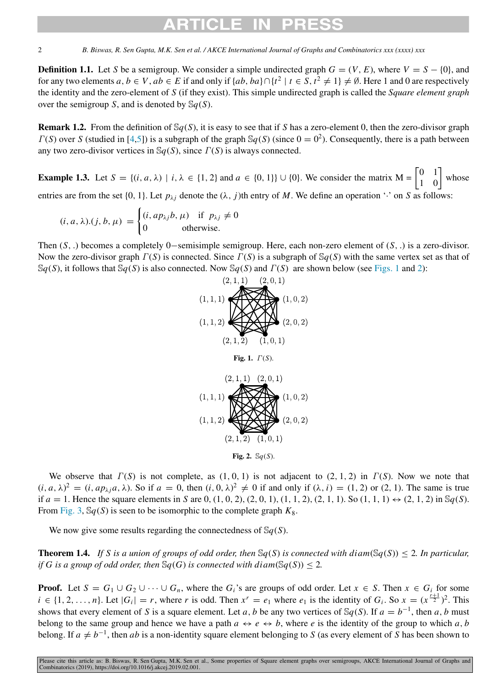# CI E

2 *B. Biswas, R. Sen Gupta, M.K. Sen et al. / AKCE International Journal of Graphs and Combinatorics xxx (xxxx) xxx*

**Definition 1.1.** Let *S* be a semigroup. We consider a simple undirected graph  $G = (V, E)$ , where  $V = S - \{0\}$ , and for any two elements  $a, b \in V$ ,  $ab \in E$  if and only if  $\{ab, ba\} \cap \{t^2 \mid t \in S, t^2 \neq 1\} \neq \emptyset$ . Here 1 and 0 are respectively the identity and the zero-element of *S* (if they exist). This simple undirected graph is called the *Square element graph* over the semigroup *S*, and is denoted by  $\mathcal{S}_q(S)$ .

Remark 1.2. From the definition of S*q*(*S*), it is easy to see that if *S* has a zero-element 0, then the zero-divisor graph  $\Gamma(S)$  over *S* (studied in [\[4](#page-12-3),[5\]](#page-12-4)) is a subgraph of the graph  $\mathcal{S}_q(S)$  (since  $0 = 0^2$ ). Consequently, there is a path between any two zero-divisor vertices in S*q*(*S*), since Γ(*S*) is always connected.

**Example 1.3.** Let  $S = \{(i, a, \lambda) | i, \lambda \in \{1, 2\} \text{ and } a \in \{0, 1\}\} \cup \{0\}$ . We consider the matrix  $M = \begin{bmatrix} 0 & 1 \\ 1 & 0 \end{bmatrix}$  whose entries are from the set  $\{0, 1\}$ . Let  $p_{\lambda i}$  denote the  $(\lambda, j)$ th entry of *M*. We define an operation '·' on *S* as follows:

$$
(i, a, \lambda).(j, b, \mu) = \begin{cases} (i, ap_{\lambda j}b, \mu) & \text{if } p_{\lambda j} \neq 0 \\ 0 & \text{otherwise.} \end{cases}
$$

<span id="page-1-0"></span>Then (*S*, .) becomes a completely 0−semisimple semigroup. Here, each non-zero element of (*S*, .) is a zero-divisor. Now the zero-divisor graph Γ(*S*) is connected. Since Γ(*S*) is a subgraph of S*q*(*S*) with the same vertex set as that of  $\mathcal{S}_q(S)$ , it follows that  $\mathcal{S}_q(S)$  is also connected. Now  $\mathcal{S}_q(S)$  and  $\Gamma(S)$  are shown below (see [Figs.](#page-1-0) [1](#page-1-0) and [2](#page-1-1)):





Fig. 2. S*q*(*S*).

<span id="page-1-1"></span>We observe that  $\Gamma(S)$  is not complete, as  $(1, 0, 1)$  is not adjacent to  $(2, 1, 2)$  in  $\Gamma(S)$ . Now we note that  $(i, a, \lambda)^2 = (i, ap_{\lambda j}a, \lambda)$ . So if  $a = 0$ , then  $(i, 0, \lambda)^2 \neq 0$  if and only if  $(\lambda, i) = (1, 2)$  or  $(2, 1)$ . The same is true if  $a = 1$ . Hence the square elements in *S* are 0, (1, 0, 2), (2, 0, 1), (1, 1, 2), (2, 1, 1). So (1, 1, 1)  $\leftrightarrow$  (2, 1, 2) in Sq(*S*). From [Fig.](#page-3-0) [3](#page-3-0),  $\mathbb{S}q(S)$  is seen to be isomorphic to the complete graph  $K_8$ .

We now give some results regarding the connectedness of S*q*(*S*).

<span id="page-1-2"></span>**Theorem 1.4.** *If S* is a union of groups of odd order, then  $\mathcal{S}_q(S)$  is connected with diam( $\mathcal{S}_q(S)$ )  $\leq$  2. In particular, *if* G is a group of odd order, then  $\mathbb{S}_q(G)$  is connected with diam( $\mathbb{S}_q(S)$ ) < 2.

**Proof.** Let  $S = G_1 \cup G_2 \cup \cdots \cup G_n$ , where the  $G_i$ 's are groups of odd order. Let  $x \in S$ . Then  $x \in G_i$  for some  $i \in \{1, 2, ..., n\}$ . Let  $|G_i| = r$ , where r is odd. Then  $x^r = e_1$  where  $e_1$  is the identity of  $G_i$ . So  $x = (x^{\frac{r+1}{2}})^2$ . This shows that every element of *S* is a square element. Let *a*, *b* be any two vertices of  $\mathbb{S}q(S)$ . If  $a = b^{-1}$ , then *a*, *b* must belong to the same group and hence we have a path  $a \leftrightarrow e \leftrightarrow b$ , where *e* is the identity of the group to which *a*, *b* belong. If  $a \neq b^{-1}$ , then *ab* is a non-identity square element belonging to *S* (as every element of *S* has been shown to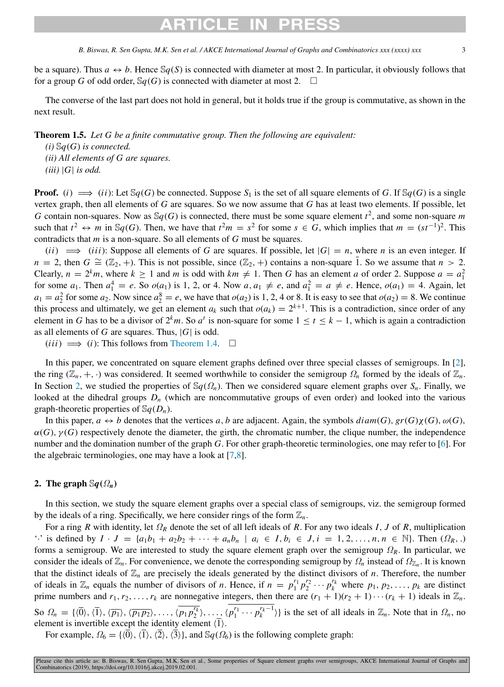# ARTICLE IN

*B. Biswas, R. Sen Gupta, M.K. Sen et al. / AKCE International Journal of Graphs and Combinatorics xxx (xxxx) xxx* 

be a square). Thus  $a \leftrightarrow b$ . Hence  $\mathcal{S}q(S)$  is connected with diameter at most 2. In particular, it obviously follows that for a group *G* of odd order,  $\mathcal{S}_q(G)$  is connected with diameter at most 2.  $\Box$ 

The converse of the last part does not hold in general, but it holds true if the group is commutative, as shown in the next result.

Theorem 1.5. *Let G be a finite commutative group. Then the following are equivalent:*

*(i)* S*q*(*G*) *is connected. (ii) All elements of G are squares.*  $(iii)$  |*G*| *is odd.* 

**Proof.** (*i*)  $\implies$  (*ii*): Let Sq(*G*) be connected. Suppose *S*<sub>1</sub> is the set of all square elements of *G*. If Sq(*G*) is a single vertex graph, then all elements of *G* are squares. So we now assume that *G* has at least two elements. If possible, let *G* contain non-squares. Now as  $\mathbb{S}q(G)$  is connected, there must be some square element  $t^2$ , and some non-square *m* such that  $t^2 \leftrightarrow m$  in Sq(*G*). Then, we have that  $t^2m = s^2$  for some  $s \in G$ , which implies that  $m = (st^{-1})^2$ . This contradicts that *m* is a non-square. So all elements of *G* must be squares.

 $(iii) \implies (iii)$ : Suppose all elements of *G* are squares. If possible, let  $|G| = n$ , where *n* is an even integer. If  $n = 2$ , then  $G \cong (\mathbb{Z}_2, +)$ . This is not possible, since  $(\mathbb{Z}_2, +)$  contains a non-square 1. So we assume that  $n > 2$ . Clearly,  $n = 2^k m$ , where  $k \ge 1$  and *m* is odd with  $km \ne 1$ . Then *G* has an element *a* of order 2. Suppose  $a = a_1^2$ for some  $a_1$ . Then  $a_1^4 = e$ . So  $o(a_1)$  is 1, 2, or 4. Now  $a, a_1 \neq e$ , and  $a_1^2 = a \neq e$ . Hence,  $o(a_1) = 4$ . Again, let  $a_1 = a_2^2$  for some  $a_2$ . Now since  $a_2^8 = e$ , we have that  $o(a_2)$  is 1, 2, 4 or 8. It is easy to see that  $o(a_2) = 8$ . We continue this process and ultimately, we get an element  $a_k$  such that  $o(a_k) = 2^{k+1}$ . This is a contradiction, since order of any element in *G* has to be a divisor of  $2^k m$ . So  $a^t$  is non-square for some  $1 \le t \le k - 1$ , which is again a contradiction as all elements of *G* are squares. Thus, |*G*| is odd.

 $(iii) \implies (i)$ : This follows from [Theorem](#page-1-2) [1.4.](#page-1-2) □

In this paper, we concentrated on square element graphs defined over three special classes of semigroups. In [\[2](#page-12-1)], the ring  $(\mathbb{Z}_n, +, \cdot)$  was considered. It seemed worthwhile to consider the semigroup  $\Omega_n$  formed by the ideals of  $\mathbb{Z}_n$ . In Section [2,](#page-2-0) we studied the properties of  $\mathbb{S}_q(\Omega_n)$ . Then we considered square element graphs over  $S_n$ . Finally, we looked at the dihedral groups  $D_n$  (which are noncommutative groups of even order) and looked into the various graph-theoretic properties of  $\mathbb{S}_q(D_n)$ .

In this paper,  $a \leftrightarrow b$  denotes that the vertices a, b are adjacent. Again, the symbols  $diam(G)$ ,  $gr(G)\chi(G)$ ,  $\omega(G)$ ,  $\alpha(G)$ ,  $\gamma(G)$  respectively denote the diameter, the girth, the chromatic number, the clique number, the independence number and the domination number of the graph *G*. For other graph-theoretic terminologies, one may refer to [\[6](#page-12-5)]. For the algebraic terminologies, one may have a look at [\[7](#page-12-6),[8\]](#page-12-7).

## 2. The graph  $\mathbb{S}q(\Omega_n)$

<span id="page-2-0"></span>In this section, we study the square element graphs over a special class of semigroups, viz. the semigroup formed by the ideals of a ring. Specifically, we here consider rings of the form  $\mathbb{Z}_n$ .

For a ring *R* with identity, let Ω*<sup>R</sup>* denote the set of all left ideals of *R*. For any two ideals *I*, *J* of *R*, multiplication " is defined by  $I \cdot J = \{a_1b_1 + a_2b_2 + \cdots + a_nb_n \mid a_i \in I, b_i \in J, i = 1, 2, \ldots, n, n \in \mathbb{N}\}\.$  Then  $(\Omega_R, \cdot)$ forms a semigroup. We are interested to study the square element graph over the semigroup Ω*R*. In particular, we consider the ideals of  $\mathbb{Z}_n$ . For convenience, we denote the corresponding semigroup by  $\Omega_n$  instead of  $\Omega_{\mathbb{Z}_n}$ . It is known that the distinct ideals of  $\mathbb{Z}_n$  are precisely the ideals generated by the distinct divisors of *n*. Therefore, the number of ideals in  $\mathbb{Z}_n$  equals the number of divisors of *n*. Hence, if  $n = p_1^{r_1} p_2^{r_2} \cdots p_k^{r_k}$  where  $p_1, p_2, \ldots, p_k$  are distinct prime numbers and  $r_1, r_2, \ldots, r_k$  are nonnegative integers, then there are  $(r_1 + 1)(r_2 + 1) \cdots (r_k + 1)$  ideals in  $\mathbb{Z}_n$ . So  $\Omega_n = \{ \langle \overline{0} \rangle, \langle \overline{1} \rangle, \langle \overline{p_1} \rangle, \langle \overline{p_1} p_2 \rangle, \dots, \langle \overline{p_1} p_2^{r_k} \rangle, \dots, \langle \overline{p_1^{r_1} \cdots p_k^{r_k-1}} \rangle \}$  is the set of all ideals in  $\mathbb{Z}_n$ . Note that in  $\Omega_n$ , no element is invertible except the identity element  $\langle \overline{1} \rangle$ .

For example,  $\Omega_6 = \{ \langle \overline{0} \rangle, \langle \overline{1} \rangle, \langle \overline{2} \rangle, \langle \overline{3} \rangle \}$ , and  $\mathcal{S}_6(\Omega_6)$  is the following complete graph: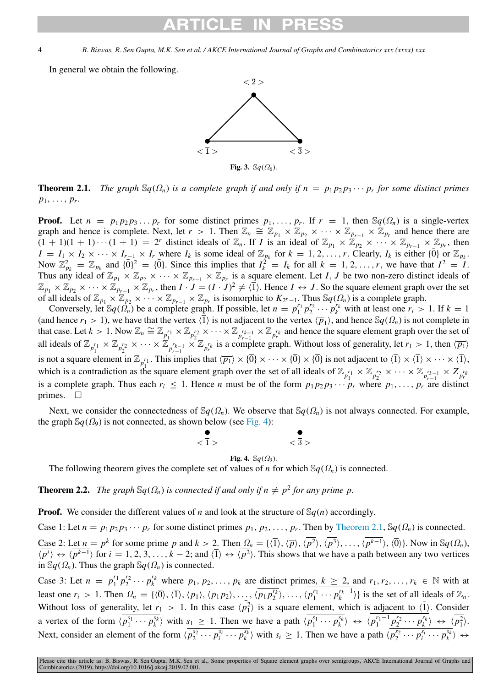In general we obtain the following.



<span id="page-3-2"></span><span id="page-3-0"></span>**Theorem 2.1.** *The graph*  $\mathbb{S}_q(\Omega_n)$  *is a complete graph if and only if*  $n = p_1p_2p_3 \cdots p_r$  *for some distinct primes*  $p_1, \ldots, p_r$ .

**Proof.** Let  $n = p_1 p_2 p_3 \dots p_r$  for some distinct primes  $p_1, \dots, p_r$ . If  $r = 1$ , then  $\mathbb{S}q(\Omega_n)$  is a single-vertex graph and hence is complete. Next, let  $r > 1$ . Then  $\mathbb{Z}_n \cong \mathbb{Z}_{p_1} \times \mathbb{Z}_{p_2} \times \cdots \times \mathbb{Z}_{p_{r-1}} \times \mathbb{Z}_{p_r}$  and hence there are  $(1 + 1)(1 + 1) \cdots (1 + 1) = 2^r$  distinct ideals of  $\mathbb{Z}_n$ . If *I* is an ideal of  $\mathbb{Z}_{p_1} \times \mathbb{Z}_{p_2} \times \cdots \times \mathbb{Z}_{p_{r-1}} \times \mathbb{Z}_{p_r}$ , then  $I = I_1 \times I_2 \times \cdots \times I_{r-1} \times I_r$  where  $I_k$  is some ideal of  $\mathbb{Z}_{p_k}$  for  $k = 1, 2, ..., r$ . Clearly,  $I_k$  is either  $\{\overline{0}\}$  or  $\mathbb{Z}_{p_k}$ . Now  $\mathbb{Z}_{p_k}^2 = \mathbb{Z}_{p_k}$  and  $\{0\}^2 = \{0\}$ . Since this implies that  $I_k^{\frac{1}{2}^k} = I_k$  for all  $k = 1, 2, ..., r$ , we have that  $I^2 = I$ . Thus any ideal of  $\mathbb{Z}_{p_1} \times \mathbb{Z}_{p_2} \times \cdots \times \mathbb{Z}_{p_{r-1}} \times \mathbb{Z}_{p_r}$  is a square element. Let *I*, *J* be two non-zero distinct ideals of  $\mathbb{Z}_{p_1} \times \mathbb{Z}_{p_2} \times \cdots \times \mathbb{Z}_{p_{r-1}} \times \mathbb{Z}_{p_r}$ , then  $I \cdot J = (I \cdot J)^2 \neq \langle \overline{1} \rangle$ . Hence  $I \leftrightarrow J$ . So the square element graph over the set of all ideals of  $\mathbb{Z}_{p_1} \times \mathbb{Z}_{p_2} \times \cdots \times \mathbb{Z}_{p_{r-1}} \times \mathbb{Z}_{p_r}$  is isomorphic to  $K_{2^r-1}$ . Thus  $\mathbb{S}q(\Omega_n)$  is a complete graph.

Conversely, let  $\mathbb{S}q(\hat{\Omega}_n)$  be a complete graph. If possible, let  $n = p_1^{r_1} p_2^{r_2} \cdots p_k^{r_k}$  with at least one  $r_i > 1$ . If  $k = 1$ (and hence  $r_1 > 1$ ), we have that the vertex  $\langle \overline{1} \rangle$  is not adjacent to the vertex  $\langle \overline{p}_1 \rangle$ , and hence  $\Im q(\Omega_n)$  is not complete in that case. Let  $k > 1$ . Now  $\mathbb{Z}_n \cong \mathbb{Z}_{p_1^{r_1}} \times \mathbb{Z}_{p_2^{r_2}} \times \cdots \times \mathbb{Z}_{p_{r-1}^{r_{k-1}}} \times \mathbb{Z}_{p_r^{r_k}}$  and hence the square element graph over the set of all ideals of  $\mathbb{Z}_{p_1^{r_1}} \times \mathbb{Z}_{p_2^{r_2}} \times \cdots \times \mathbb{Z}_{p_{r-1}^{r_{k-1}}} \times \mathbb{Z}_{p_r^{r_k}}$  is a complete graph. Without loss of generality, let  $r_1 > 1$ , then  $\langle \overline{p_1} \rangle$ is not a square element in  $\mathbb{Z}_{p_1^{r_1}}$ . This implies that  $\langle \overline{p_1} \rangle \times \{ \overline{0} \} \times \cdots \times \{ \overline{0} \} \times \{ \overline{0} \}$  is not adjacent to  $\langle \overline{1} \rangle \times \langle \overline{1} \rangle \times \cdots \times \langle \overline{1} \rangle$ , which is a contradiction as the square element graph over the set of all ideals of  $\mathbb{Z}_{p_1^{r_1}} \times \mathbb{Z}_{p_2^{r_2}} \times \cdots \times \mathbb{Z}_{p_{r-1}^{r_{k-1}}} \times Z_{p_r^{r_k}}$ is a complete graph. Thus each  $r_i \leq 1$ . Hence *n* must be of the form  $p_1 p_2 p_3 \cdots p_r$  where  $p_1, \ldots, p_r$  are distinct primes.  $\square$ 

Next, we consider the connectedness of  $\mathcal{S}_q(\Omega_n)$ . We observe that  $\mathcal{S}_q(\Omega_n)$  is not always connected. For example, the graph  $\mathbb{S}q(\Omega_9)$  is not connected, as shown below (see [Fig.](#page-3-1) [4\)](#page-3-1):



Fig. 4.  $\mathbb{S}q(\Omega_9)$ .

<span id="page-3-1"></span>The following theorem gives the complete set of values of *n* for which  $\mathcal{S}_q(\Omega_n)$  is connected.

<span id="page-3-3"></span>**Theorem 2.2.** *The graph*  $\mathbb{S}_q(\Omega_n)$  *is connected if and only if*  $n \neq p^2$  *for any prime p.* 

**Proof.** We consider the different values of *n* and look at the structure of  $\mathbb{S}_q(n)$  accordingly.

Case 1: Let  $n = p_1 p_2 p_3 \cdots p_r$  for some distinct primes  $p_1, p_2, \ldots, p_r$ . Then by [Theorem](#page-3-2) [2.1](#page-3-2),  $\mathcal{S}_q(\Omega_n)$  is connected. Case 2: Let  $n = p^k$  for some prime *p* and  $k > 2$ . Then  $\Omega_n = \{(\overline{1}), (\overline{p}), (\overline{p^2}), (\overline{p^3}), \ldots, (\overline{p^{k-1}}), (\overline{0})\}$ . Now in  $\mathbb{S}q(\Omega_n)$ ,  $\langle p^i \rangle \leftrightarrow \langle p^{k-1} \rangle$  for  $i = 1, 2, 3, \ldots, k-2$ ; and  $\langle \overline{1} \rangle \leftrightarrow \langle p^2 \rangle$ . This shows that we have a path between any two vertices in  $\mathbb{S}q(\Omega_n)$ . Thus the graph  $\mathbb{S}q(\Omega_n)$  is connected.

Case 3: Let  $n = p_1^{r_1} p_2^{r_2} \cdots p_k^{r_k}$  where  $p_1, p_2, \ldots, p_k$  are distinct primes,  $k \ge 2$ , and  $r_1, r_2, \ldots, r_k \in \mathbb{N}$  with at least one  $r_i > 1$ . Then  $\Omega_n = \{ \langle \overline{0} \rangle, \langle \overline{1} \rangle, \langle \overline{p_1} \rangle, \langle \overline{p_1} p_2 \rangle, \dots, \langle \overline{p_1} p_2^{r_k} \rangle, \dots, \langle p_1^{r_1} \cdots p_k^{r_k-1} \rangle \}$  is the set of all ideals of  $\mathbb{Z}_n$ . Without loss of generality, let  $r_1 > 1$ . In this case  $\langle p_1^2 \rangle$  is a square element, which is adjacent to  $\langle \overline{1} \rangle$ . Consider a vertex of the form  $\langle \overline{p_1^{s_1} \cdots p_k^{s_k}} \rangle$  with  $s_1 \ge 1$ . Then we have a path  $\langle \overline{p_1^{s_1} \cdots p_k^{s_k}} \rangle \leftrightarrow \langle \overline{p_1^{r_1-1} p_2^{r_2} \cdots p_k^{r_k}} \rangle \leftrightarrow \langle \overline{p_1^2} \rangle$ . Next, consider an element of the form  $\langle \overline{p_2^{s_2} \cdots p_i^{s_i} \cdots p_k^{s_k}} \rangle$  with  $s_i \ge 1$ . Then we have a path  $\langle \overline{p_2^{s_2} \cdots p_i^{s_i} \cdots p_k^{s_k}} \rangle \leftrightarrow$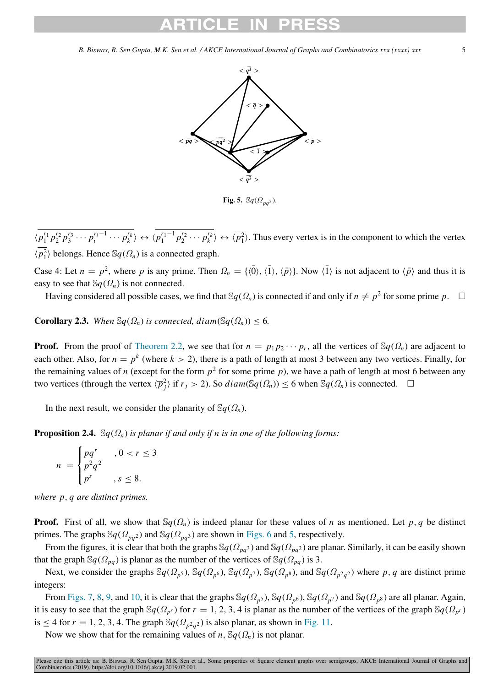

Fig. 5.  $\mathbb{S}q(\Omega_{na^3})$ .

 $\langle p_1^{r_1} p_2^{r_2} p_3^{r_3} \cdots p_i^{r_i-1} \cdots p_k^{r_k} \rangle \leftrightarrow \langle p_1^{r_1-1} p_2^{r_2} \cdots p_k^{r_k} \rangle \leftrightarrow \langle p_1^{r_1} \rangle$ . Thus every vertex is in the component to which the vertex  $\langle \overline{p_1^2} \rangle$  belongs. Hence  $\mathbb{S}q(\Omega_n)$  is a connected graph.

Case 4: Let  $n = p^2$ , where p is any prime. Then  $\Omega_n = \{ \langle \overline{0} \rangle, \langle \overline{1} \rangle, \langle \overline{p} \rangle \}$ . Now  $\langle \overline{1} \rangle$  is not adjacent to  $\langle \overline{p} \rangle$  and thus it is easy to see that  $\mathbb{S}_q(\Omega_n)$  is not connected.

Having considered all possible cases, we find that  $\mathbb{S}_q(\Omega_n)$  is connected if and only if  $n \neq p^2$  for some prime  $p$ .  $\Box$ 

**Corollary 2.3.** *When*  $\mathbb{S}_q(\Omega_n)$  *is connected, diam*( $\mathbb{S}_q(\Omega_n)$ ) < 6*.* 

**Proof.** From the proof of [Theorem](#page-3-3) [2.2](#page-3-3), we see that for  $n = p_1 p_2 \cdots p_r$ , all the vertices of  $\mathbb{S}_q(\Omega_n)$  are adjacent to each other. Also, for  $n = p^k$  (where  $k > 2$ ), there is a path of length at most 3 between any two vertices. Finally, for the remaining values of *n* (except for the form  $p^2$  for some prime *p*), we have a path of length at most 6 between any two vertices (through the vertex  $\langle \overline{p}_j^2 \rangle$  if  $r_j > 2$ ). So  $diam(\mathbb{S}q(\Omega_n)) \leq 6$  when  $\mathbb{S}q(\Omega_n)$  is connected.  $\Box$ 

In the next result, we consider the planarity of  $\mathbb{S}q(\Omega_n)$ .

**Proposition 2.4.**  $\mathbb{S}_q(\Omega_n)$  *is planar if and only if n is in one of the following forms:* 

$$
n = \begin{cases} pq^r & , 0 < r \le 3 \\ p^2 q^2 & , s \le 8. \end{cases}
$$

*where p*, *q are distinct primes.*

**Proof.** First of all, we show that  $\mathcal{S}_q(\Omega_n)$  is indeed planar for these values of *n* as mentioned. Let *p*, *q* be distinct primes. The graphs  $\mathbb{S}q(\Omega_{pq^2})$  and  $\mathbb{S}q(\Omega_{pq^3})$  are shown in [Figs.](#page-5-0) 6 and 5, respectively.

From the figures, it is clear that both the graphs  $\mathcal{S}_q(\Omega_{pa^3})$  and  $\mathcal{S}_q(\Omega_{pa^2})$  are planar. Similarly, it can be easily shown that the graph  $\mathbb{S}q(\Omega_{pq})$  is planar as the number of the vertices of  $\mathbb{S}q(\Omega_{pq})$  is 3.

Next, we consider the graphs  $\mathbb{S}q(\Omega_p, \mathbb{S}q(\Omega_p, \mathbb{S}q(\Omega_p)), \mathbb{S}q(\Omega_p), \mathbb{S}q(\Omega_p, \mathbb{S}q(\Omega_p, \mathbb{S}q(\Omega_p, \mathbb{S}q(\Omega_p, \mathbb{S}q(\Omega_p, \mathbb{S}q(\Omega_p, \mathbb{S}q(\Omega_p, \mathbb{S}q(\Omega_p, \mathbb{S}q(\Omega_p, \mathbb{S}q(\Omega_p, \mathbb{S}q(\Omega_p, \mathbb{S}q(\Omega_p, \mathbb{S}q(\Omega_p, \mathbb{$ integers:

From [Figs.](#page-5-1) [7,](#page-5-1) [8,](#page-5-2) [9,](#page-6-0) and [10](#page-6-1), it is clear that the graphs  $\mathbb{S}q(\Omega_p, \mathfrak{H})$ ,  $\mathbb{S}q(\Omega_p, \mathfrak{H})$  and  $\mathbb{S}q(\Omega_p, \mathfrak{H})$  are all planar. Again, it is easy to see that the graph  $\mathbb{S}q(\Omega_{p^r})$  for  $r = 1, 2, 3, 4$  is planar as the number of the vertices of the graph  $\mathbb{S}q(\Omega_{p^r})$ is  $\leq$  4 for  $r = 1, 2, 3, 4$ . The graph  $\mathbb{S}q(\Omega_{p^2q^2})$  is also planar, as shown in [Fig.](#page-6-2) [11](#page-6-2).

Now we show that for the remaining values of *n*,  $\mathcal{S}_q(\Omega_n)$  is not planar.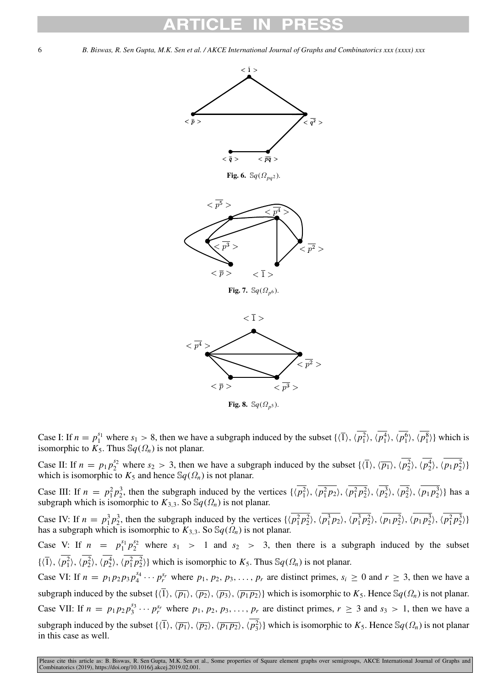

Fig. 8.  $\mathbb{S}q(\Omega_{p^5})$ .

<span id="page-5-2"></span>Case I: If  $n = p_1^{s_1}$  where  $s_1 > 8$ , then we have a subgraph induced by the subset  $\{\langle \overline{1} \rangle, \langle \overline{p_1^2} \rangle, \langle \overline{p_1^4} \rangle, \langle \overline{p_1^6} \rangle, \langle \overline{p_1^8} \rangle\}$  which is isomorphic to  $K_5$ . Thus  $\mathcal{S}_q(\Omega_n)$  is not planar.

Case II: If  $n = p_1 p_2^{s_2}$  where  $s_2 > 3$ , then we have a subgraph induced by the subset  $\{\langle \overline{1} \rangle, \langle \overline{p_1} \rangle, \langle \overline{p_2^2} \rangle, \langle \overline{p_2^4} \rangle, \langle \overline{p_1 p_2^2} \rangle\}$ which is isomorphic to  $K_5$  and hence  $\mathcal{S}_q(\Omega_n)$  is not planar.

Case III: If  $n = p_1^2 p_2^3$ , then the subgraph induced by the vertices  $\{\langle p_1^2 \rangle, \langle p_1^2 p_2 \rangle, \langle p_1^2 p_2^2 \rangle, \langle p_2^3 \rangle, \langle p_1 p_2^3 \rangle\}$  has a subgraph which is isomorphic to  $K_{3,3}$ . So  $\mathbb{S}q(\Omega_n)$  is not planar.

Case IV: If  $n = p_1^3 p_2^3$ , then the subgraph induced by the vertices  $\{\langle p_1^2 p_2^2 \rangle, \langle p_1^3 p_2 \rangle, \langle p_1 p_2^2 \rangle, \langle p_1 p_2^2 \rangle, \langle p_1 p_2^3 \rangle, \langle p_1^2 p_2^3 \rangle\}$ has a subgraph which is isomorphic to  $K_{3,3}$ . So  $\mathcal{S}_q(\Omega_n)$  is not planar.

Case V: If  $n = p_1^{s_1} p_2^{s_2}$  where  $s_1 > 1$  and  $s_2 > 3$ , then there is a subgraph induced by the subset  $\{\langle \overline{1} \rangle, \langle \overline{p_1^2} \rangle, \langle \overline{p_2^2} \rangle, \langle \overline{p_1^2} \overline{p_2^2} \rangle\}$  which is isomorphic to  $K_5$ . Thus  $\mathbb{S}q(\Omega_n)$  is not planar.

Case VI: If  $n = p_1 p_2 p_3 p_4^{s_4} \cdots p_r^{s_r}$  where  $p_1, p_2, p_3, \ldots, p_r$  are distinct primes,  $s_i \ge 0$  and  $r \ge 3$ , then we have a subgraph induced by the subset  $\{\langle \overline{1}\rangle, \langle \overline{p_1}\rangle, \langle \overline{p_2}\rangle, \langle \overline{p_3}\rangle, \langle \overline{p_1p_2}\rangle\}$  which is isomorphic to  $K_5$ . Hence  $\mathbb{S}_q(\Omega_n)$  is not planar. Case VII: If  $n = p_1 p_2 p_3^{s_3} \cdots p_r^{s_r}$  where  $p_1, p_2, p_3, \ldots, p_r$  are distinct primes,  $r \ge 3$  and  $s_3 > 1$ , then we have a subgraph induced by the subset  $\{\langle \overline{1} \rangle, \langle \overline{p_1} \rangle, \langle \overline{p_2} \rangle, \langle \overline{p_1 p_2} \rangle, \langle \overline{p_3} \rangle\}$  which is isomorphic to  $K_5$ . Hence  $\mathbb{S}q(\Omega_n)$  is not planar in this case as well.

<span id="page-5-1"></span><span id="page-5-0"></span>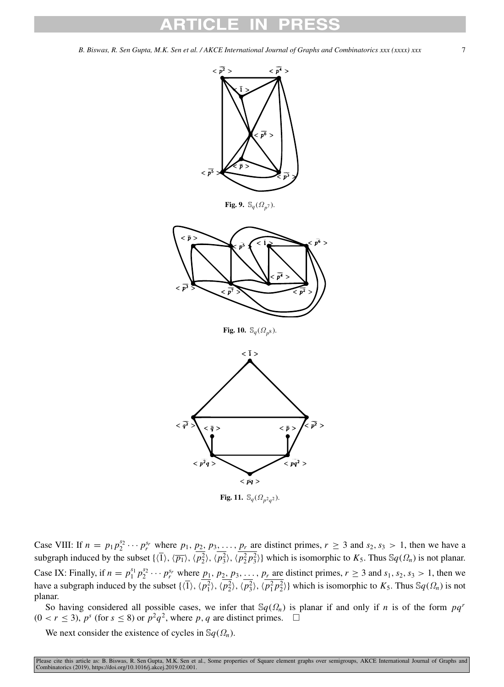<span id="page-6-0"></span>

**Fig. 11.**  $\mathbb{S}_q(\Omega_{p^2q^2})$ .

<span id="page-6-2"></span><span id="page-6-1"></span>Case VIII: If  $n = p_1 p_2^{s_2} \cdots p_r^{s_r}$  where  $p_1, p_2, p_3, \ldots, p_r$  are distinct primes,  $r \ge 3$  and  $s_2, s_3 > 1$ , then we have a subgraph induced by the subset  $\{\langle \overline{1} \rangle, \langle \overline{p_1} \rangle, \langle \overline{p_2^2} \rangle, \langle \overline{p_3^2} \rangle\}$ , which is isomorphic to  $K_5$ . Thus  $\mathbb{S}q(\Omega_n)$  is not planar. Case IX: Finally, if  $n = p_1^{s_1} p_2^{s_2} \cdots p_r^{s_r}$  where  $p_1, p_2, p_3, \ldots, p_r$  are distinct primes,  $r \ge 3$  and  $s_1, s_2, s_3 > 1$ , then we have a subgraph induced by the subset  $\{\langle \overline{1} \rangle, \langle \overline{p_1^2} \rangle, \langle \overline{p_2^2} \rangle, \langle \overline{p_3^2} \rangle, \langle \overline{p_1^2} \overline{p_2^2} \rangle\}$  which is isomorphic to  $K_5$ . Thus  $\mathbb{S}q(\Omega_n)$  is not planar.

So having considered all possible cases, we infer that  $\mathcal{S}_q(\Omega_n)$  is planar if and only if *n* is of the form  $pq^r$  $(0 < r \leq 3)$ ,  $p^s$  (for  $s \leq 8$ ) or  $p^2q^2$ , where p, q are distinct primes.  $\Box$ 

We next consider the existence of cycles in  $\mathcal{S}_q(\Omega_n)$ .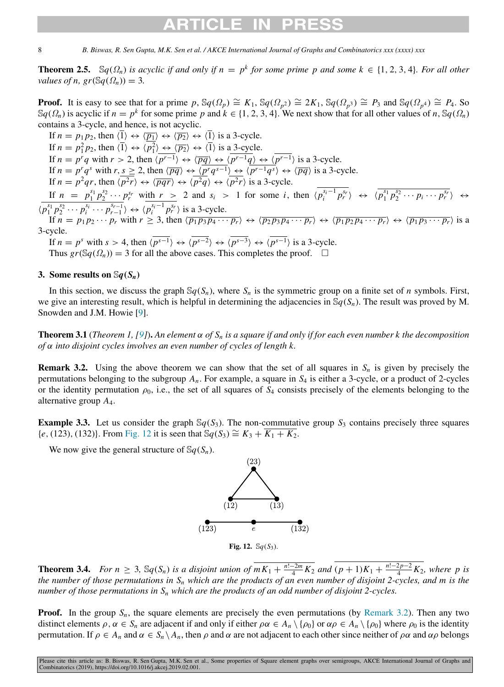# ARTICI F II

8 *B. Biswas, R. Sen Gupta, M.K. Sen et al. / AKCE International Journal of Graphs and Combinatorics xxx (xxxx) xxx*

**Theorem 2.5.** Sq( $\Omega_n$ ) is acyclic if and only if  $n = p^k$  for some prime p and some  $k \in \{1, 2, 3, 4\}$ *. For all other values of n, gr*( $\mathcal{S}_q(\Omega_n)$ ) = 3*.* 

**Proof.** It is easy to see that for a prime  $p$ ,  $\mathbb{S}q(\Omega_p) \cong K_1$ ,  $\mathbb{S}q(\Omega_{p^2}) \cong 2K_1$ ,  $\mathbb{S}q(\Omega_{p^3}) \cong P_3$  and  $\mathbb{S}q(\Omega_{p^4}) \cong P_4$ . So  $\mathbb{S}q(\Omega_n)$  is acyclic if  $n = p^k$  for some prime  $p$  and  $k \in \{1, 2, 3, 4\}$ . We next show that for all other values of *n*,  $\mathbb{S}q(\Omega_n)$ contains a 3-cycle, and hence, is not acyclic.

If  $n = p_1 p_2$ , then  $\langle \overline{1} \rangle \leftrightarrow \langle \overline{p_1} \rangle \leftrightarrow \langle \overline{p_2} \rangle \leftrightarrow \langle \overline{1} \rangle$  is a 3-cycle. If  $n = p_1^2 p_2$ , then  $\langle \overline{1} \rangle \leftrightarrow \langle p_1^2 \rangle \leftrightarrow \langle \overline{p_2} \rangle \leftrightarrow \langle \overline{1} \rangle$  is a 3-cycle. If  $n = p^r q$  with  $r > 2$ , then  $\langle p^{r-1} \rangle \leftrightarrow \langle \overline{pq} \rangle \leftrightarrow \langle p^{r-1} q \rangle \leftrightarrow \langle p^{r-1} \rangle$  is a 3-cycle. If  $n = p^r q^s$  with  $r, s \ge 2$ , then  $\langle \overline{pq} \rangle \leftrightarrow \langle \overline{p^r q^{s-1}} \rangle \leftrightarrow \langle \overline{p^{r-1} q^s} \rangle \leftrightarrow \langle \overline{pq} \rangle$  is a 3-cycle. If  $n = p^2qr$ , then  $\langle p^2r \rangle \leftrightarrow \langle \overline{pqr} \rangle \leftrightarrow \langle p^2q \rangle \leftrightarrow \langle p^2r \rangle$  is a 3-cycle. If  $n = p_1^{s_1} p_2^{s_2} \cdots p_r^{s_r}$  with  $r > 2$  and  $s_i > 1$  for some i, then  $\langle p_i^{s_i-1} p_r^{s_r} \rangle \leftrightarrow \langle p_1^{s_1} p_2^{s_2} \cdots p_i \cdots p_r^{s_r} \rangle \leftrightarrow$  $\langle p_1^{s_1} p_2^{s_2} \cdots p_i^{s_i} \cdots p_{r-1}^{s_{r-1}} \rangle \leftrightarrow \langle p_i^{s_i-1} p_r^{s_r} \rangle$  is a 3-cycle. If  $n = p_1 p_2 \cdots p_r$  with  $r \ge 3$ , then  $\langle \overline{p_1 p_3 p_4 \cdots p_r} \rangle \leftrightarrow \langle \overline{p_2 p_3 p_4 \cdots p_r} \rangle \leftrightarrow \langle \overline{p_1 p_2 p_4 \cdots p_r} \rangle \leftrightarrow \langle \overline{p_1 p_3 \cdots p_r} \rangle$  is a 3-cycle. If  $n = p^s$  with  $s > 4$ , then  $\langle p^{s-1} \rangle \leftrightarrow \langle p^{s-2} \rangle \leftrightarrow \langle p^{s-3} \rangle \leftrightarrow \langle p^{s-1} \rangle$  is a 3-cycle.

Thus  $gr(Sq(\Omega_n)) = 3$  for all the above cases. This completes the proof.  $\square$ 

## 3. Some results on  $\mathcal{S}q(S_n)$

In this section, we discuss the graph  $\mathcal{S}_q(S_n)$ , where  $S_n$  is the symmetric group on a finite set of *n* symbols. First, we give an interesting result, which is helpful in determining the adjacencies in  $\mathcal{S}_q(S_n)$ . The result was proved by M. Snowden and J.M. Howie [[9\]](#page-12-8).

**Theorem 3.1** (*Theorem 1, [\[9](#page-12-8)]*). An element  $\alpha$  of  $S_n$  is a square if and only if for each even number k the decomposition *of* α *into disjoint cycles involves an even number of cycles of length k.*

<span id="page-7-1"></span>**Remark 3.2.** Using the above theorem we can show that the set of all squares in  $S_n$  is given by precisely the permutations belonging to the subgroup  $A_n$ . For example, a square in  $S_4$  is either a 3-cycle, or a product of 2-cycles or the identity permutation  $\rho_0$ , i.e., the set of all squares of  $S_4$  consists precisely of the elements belonging to the alternative group *A*4.

**Example 3.3.** Let us consider the graph  $\mathcal{S}_q(S_3)$ . The non-commutative group  $S_3$  contains precisely three squares  ${e, (123), (132)}$  ${e, (123), (132)}$  ${e, (123), (132)}$ . From [Fig.](#page-7-0) 12 it is seen that S $q(S_3) ≅ K_3 + K_1 + K_2$ .

We now give the general structure of  $\mathbb{S}q(S_n)$ .



<span id="page-7-2"></span><span id="page-7-0"></span>**Theorem 3.4.** *For n* ≥ 3,  $\Im q(S_n)$  *is a disjoint union of*  $\overline{mK_1 + \frac{n!-2m}{4}K_2}$  *and*  $(p + 1)K_1 + \frac{n!-2p-2}{4}$  $\frac{2p-2}{4}K_2$ , where p is *the number of those permutations in S<sup>n</sup> which are the products of an even number of disjoint 2-cycles, and m is the number of those permutations in S<sup>n</sup> which are the products of an odd number of disjoint 2-cycles.*

**Proof.** In the group  $S_n$ , the square elements are precisely the even permutations (by [Remark](#page-7-1) [3.2](#page-7-1)). Then any two distinct elements  $\rho$ ,  $\alpha \in S_n$  are adjacent if and only if either  $\rho \alpha \in A_n \setminus \{\rho_0\}$  or  $\alpha \rho \in A_n \setminus \{\rho_0\}$  where  $\rho_0$  is the identity permutation. If  $\rho \in A_n$  and  $\alpha \in S_n \setminus A_n$ , then  $\rho$  and  $\alpha$  are not adjacent to each other since neither of  $\rho \alpha$  and  $\alpha \rho$  belongs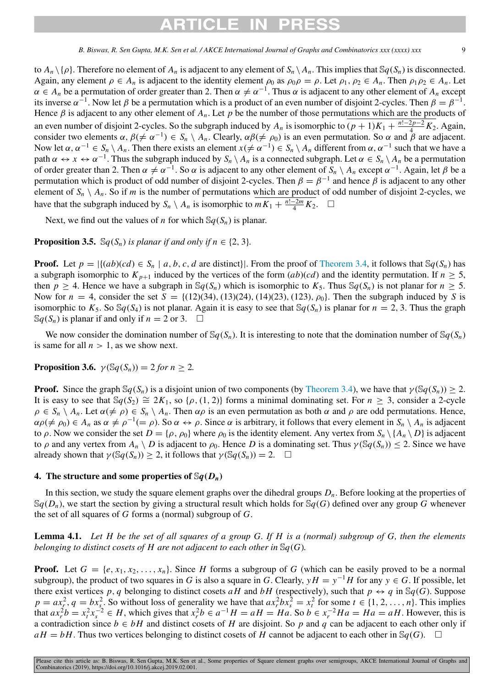# RTICI F IN

*B. Biswas, R. Sen Gupta, M.K. Sen et al. / AKCE International Journal of Graphs and Combinatorics xxx (xxxx) xxx* 

to  $A_n \setminus \{\rho\}$ . Therefore no element of  $A_n$  is adjacent to any element of  $S_n \setminus A_n$ . This implies that  $\mathcal{S}_q(S_n)$  is disconnected. Again, any element  $\rho \in A_n$  is adjacent to the identity element  $\rho_0$  as  $\rho_0 \rho = \rho$ . Let  $\rho_1, \rho_2 \in A_n$ . Then  $\rho_1 \rho_2 \in A_n$ . Let  $\alpha \in A_n$  be a permutation of order greater than 2. Then  $\alpha \neq \alpha^{-1}$ . Thus  $\alpha$  is adjacent to any other element of  $A_n$  except its inverse  $\alpha^{-1}$ . Now let  $\beta$  be a permutation which is a product of an even number of disjoint 2-cycles. Then  $\beta = \beta^{-1}$ . Hence  $\beta$  is adjacent to any other element of  $A_n$ . Let  $p$  be the number of those permutations which are the products of an even number of disjoint 2-cycles. So the subgraph induced by  $A_n$  is isomorphic to  $(p + 1)K_1 + \frac{n!-2p-2}{4}$  $\frac{2p-2}{4}K_2$ . Again, consider two elements  $\alpha$ ,  $\beta$ ( $\neq \alpha^{-1}$ )  $\in S_n \setminus A_n$ . Clearly,  $\alpha\beta$ ( $\neq \rho_0$ ) is an even permutation. So  $\alpha$  and  $\beta$  are adjacent. Now let  $\alpha$ ,  $\alpha^{-1} \in S_n \setminus A_n$ . Then there exists an element  $x (\neq \alpha^{-1}) \in S_n \setminus A_n$  different from  $\alpha$ ,  $\alpha^{-1}$  such that we have a path  $\alpha \leftrightarrow x \leftrightarrow \alpha^{-1}$ . Thus the subgraph induced by  $S_n \setminus A_n$  is a connected subgraph. Let  $\alpha \in S_n \setminus A_n$  be a permutation of order greater than 2. Then  $\alpha \neq \alpha^{-1}$ . So  $\alpha$  is adjacent to any other element of  $S_n \setminus A_n$  except  $\alpha^{-1}$ . Again, let  $\beta$  be a permutation which is product of odd number of disjoint 2-cycles. Then  $\beta = \beta^{-1}$  and hence  $\beta$  is adjacent to any other element of  $S_n \setminus A_n$ . So if *m* is the number of permutations which are product of odd number of disjoint 2-cycles, we have that the subgraph induced by  $S_n \setminus A_n$  is isomorphic to  $mK_1 + \frac{n!-2m}{4}K_2$ . □

Next, we find out the values of *n* for which  $\mathcal{S}_q(S_n)$  is planar.

**Proposition 3.5.** Sq( $S_n$ ) *is planar if and only if n*  $\in$  {2, 3}*.* 

**Proof.** Let  $p = |\{(ab)(cd) \in S_n \mid a, b, c, d \text{ are distinct}\}|$ . From the proof of [Theorem](#page-7-2) [3.4](#page-7-2), it follows that  $\mathbb{S}q(S_n)$  has a subgraph isomorphic to  $K_{p+1}$  induced by the vertices of the form  $(ab)(cd)$  and the identity permutation. If  $n \geq 5$ , then  $p \ge 4$ . Hence we have a subgraph in  $\mathcal{S}_q(S_n)$  which is isomorphic to  $K_5$ . Thus  $\mathcal{S}_q(S_n)$  is not planar for  $n \ge 5$ . Now for  $n = 4$ , consider the set  $S = \{(12)(34), (13)(24), (14)(23), (123), \rho_0\}$ . Then the subgraph induced by *S* is isomorphic to  $K_5$ . So  $\mathcal{S}_q(S_4)$  is not planar. Again it is easy to see that  $\mathcal{S}_q(S_n)$  is planar for  $n = 2, 3$ . Thus the graph  $\mathbb{S}q(S_n)$  is planar if and only if  $n = 2$  or 3. □

We now consider the domination number of  $\mathbb{S}q(S_n)$ . It is interesting to note that the domination number of  $\mathbb{S}q(S_n)$ is same for all  $n > 1$ , as we show next.

**Proposition 3.6.**  $\gamma(\mathbb{S}q(S_n)) = 2$  *for n* > 2*.* 

**Proof.** Since the graph  $\mathbb{S}q(S_n)$  is a disjoint union of two components (by [Theorem](#page-7-2) [3.4](#page-7-2)), we have that  $\gamma(\mathbb{S}q(S_n)) \geq 2$ . It is easy to see that  $\mathbb{S}q(S_2) \cong 2K_1$ , so { $\rho$ , (1, 2)} forms a minimal dominating set. For  $n \geq 3$ , consider a 2-cycle  $\rho \in S_n \setminus A_n$ . Let  $\alpha (\neq \rho) \in S_n \setminus A_n$ . Then  $\alpha \rho$  is an even permutation as both  $\alpha$  and  $\rho$  are odd permutations. Hence,  $\alpha \rho (\neq \rho_0) \in A_n$  as  $\alpha \neq \rho^{-1} (= \rho)$ . So  $\alpha \leftrightarrow \rho$ . Since  $\alpha$  is arbitrary, it follows that every element in  $S_n \setminus A_n$  is adjacent to ρ. Now we consider the set  $D = {\rho, \rho_0}$  where  $\rho_0$  is the identity element. Any vertex from  $S_n \setminus \{A_n \setminus D\}$  is adjacent to  $\rho$  and any vertex from  $A_n \setminus D$  is adjacent to  $\rho_0$ . Hence *D* is a dominating set. Thus  $\gamma(\mathcal{S}_q(S_n)) \leq 2$ . Since we have already shown that  $\gamma(\mathbb{S}q(S_n)) \geq 2$ , it follows that  $\gamma(\mathbb{S}q(S_n)) = 2$ .  $\Box$ 

### 4. The structure and some properties of  $\Im q(D_n)$

In this section, we study the square element graphs over the dihedral groups *Dn*. Before looking at the properties of  $\mathcal{S}_q(D_n)$ , we start the section by giving a structural result which holds for  $\mathcal{S}_q(G)$  defined over any group *G* whenever the set of all squares of *G* forms a (normal) subgroup of *G*.

<span id="page-8-0"></span>Lemma 4.1. *Let H be the set of all squares of a group G. If H is a (normal) subgroup of G, then the elements belonging to distinct cosets of H are not adjacent to each other in* S*q*(*G*)*.*

**Proof.** Let  $G = \{e, x_1, x_2, \ldots, x_n\}$ . Since *H* forms a subgroup of *G* (which can be easily proved to be a normal subgroup), the product of two squares in *G* is also a square in *G*. Clearly,  $yH = y^{-1}H$  for any  $y \in G$ . If possible, let there exist vertices p, q belonging to distinct cosets aH and bH (respectively), such that  $p \leftrightarrow q$  in Sq(*G*). Suppose  $p = ax_r^2$ ,  $q = bx_s^2$ . So without loss of generality we have that  $ax_r^2bx_s^2 = x_t^2$  for some  $t \in \{1, 2, ..., n\}$ . This implies that  $ax_r^2b = x_t^2x_s^{-2} \in H$ , which gives that  $x_r^2b \in a^{-1}H = aH = Ha$ . So  $b \in x_r^{-2}Ha = Ha = aH$ . However, this is a contradiction since  $b \in bH$  and distinct cosets of *H* are disjoint. So *p* and *q* can be adjacent to each other only if  $aH = bH$ . Thus two vertices belonging to distinct cosets of *H* cannot be adjacent to each other in Sq(*G*).  $\square$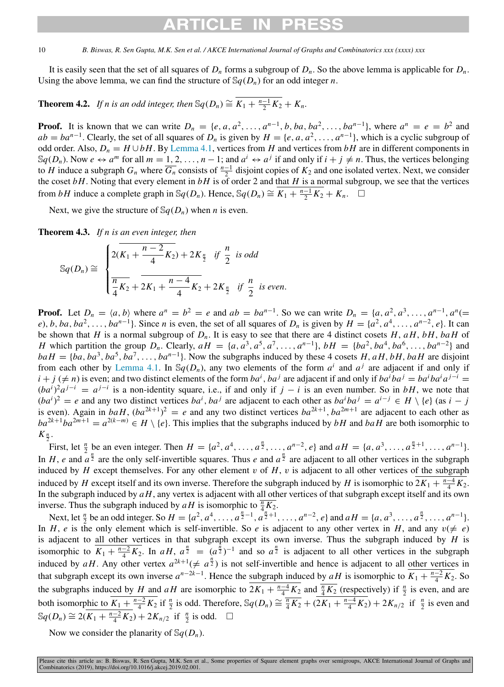## RTICI F IN

### 10 *B. Biswas, R. Sen Gupta, M.K. Sen et al. / AKCE International Journal of Graphs and Combinatorics xxx (xxxx) xxx*

It is easily seen that the set of all squares of  $D_n$  forms a subgroup of  $D_n$ . So the above lemma is applicable for  $D_n$ . Using the above lemma, we can find the structure of  $\mathbb{S}q(D_n)$  for an odd integer *n*.

## <span id="page-9-0"></span>**Theorem 4.2.** *If n is an odd integer, then*  $\mathbb{S}q(D_n) \cong \overline{K_1 + \frac{n-1}{2}K_2} + K_n$ .

**Proof.** It is known that we can write  $D_n = \{e, a, a^2, \dots, a^{n-1}, b, ba, ba^2, \dots, ba^{n-1}\}\$ , where  $a^n = e = b^2$  and  $ab = ba^{n-1}$ . Clearly, the set of all squares of  $D_n$  is given by  $H = \{e, a, a^2, \ldots, a^{n-1}\}$ , which is a cyclic subgroup of odd order. Also,  $D_n = H \cup bH$ . By [Lemma](#page-8-0) [4.1](#page-8-0), vertices from *H* and vertices from *bH* are in different components in  $\mathbb{S}q(D_n)$ . Now  $e \leftrightarrow a^m$  for all  $m = 1, 2, ..., n-1$ ; and  $a^i \leftrightarrow a^j$  if and only if  $i + j \neq n$ . Thus, the vertices belonging to *H* induce a subgraph  $G_n$  where  $\overline{G_n}$  consists of  $\frac{n-1}{2}$  disjoint copies of  $K_2$  and one isolated vertex. Next, we consider the coset  $bH$ . Noting that every element in  $bH$  is of order 2 and that  $H$  is a normal subgroup, we see that the vertices from *bH* induce a complete graph in  $\mathbb{S}q(D_n)$ . Hence,  $\mathbb{S}q(D_n) \cong \overline{K_1 + \frac{n-1}{2}K_2} + K_n$ . □

Next, we give the structure of  $\mathcal{S}_q(D_n)$  when *n* is even.

<span id="page-9-1"></span>Theorem 4.3. *If n is an even integer, then*

$$
\mathbb{S}q(D_n) \cong \begin{cases} 2(K_1 + \frac{n-2}{4}K_2) + 2K_{\frac{n}{2}} & \text{if } \frac{n}{2} \text{ is odd} \\ \frac{n}{4}K_2 + 2K_1 + \frac{n-4}{4}K_2 + 2K_{\frac{n}{2}} & \text{if } \frac{n}{2} \text{ is even.} \end{cases}
$$

**Proof.** Let  $D_n = \langle a, b \rangle$  where  $a^n = b^2 = e$  and  $ab = ba^{n-1}$ . So we can write  $D_n = \{a, a^2, a^3, ..., a^{n-1}, a^n\}$ e), b, ba, ba<sup>2</sup>, ..., ba<sup>n-1</sup>}. Since n is even, the set of all squares of  $D_n$  is given by  $H = \{a^2, a^4, \dots, a^{n-2}, e\}$ . It can be shown that *H* is a normal subgroup of  $D_n$ . It is easy to see that there are 4 distinct cosets *H*,  $aH$ ,  $bH$ ,  $bah$  of *H* which partition the group  $D_n$ . Clearly,  $aH = \{a, a^3, a^5, a^7, \dots, a^{n-1}\}, bH = \{ba^2, ba^4, ba^6, \dots, ba^{n-2}\}\$ and  $b a H = \{ba, ba^3, ba^5, ba^7, \ldots, ba^{n-1}\}.$  Now the subgraphs induced by these 4 cosets *H*, *aH*, *bH*, *baH* are disjoint from each other by [Lemma](#page-8-0) [4.1](#page-8-0). In  $\mathbb{S}q(D_n)$ , any two elements of the form  $a^i$  and  $a^j$  are adjacent if and only if  $i + j$  ( $\neq n$ ) is even; and two distinct elements of the form  $ba^i$ ,  $ba^j$  are adjacent if and only if  $ba^iba^j = ba^iba^ia^{j-i}$  $(ba^i)^2a^{j-i} = a^{j-i}$  is a non-identity square, i.e., if and only if  $j - i$  is an even number. So in *bH*, we note that  $(ba^i)^2 = e$  and any two distinct vertices  $ba^i$ ,  $ba^j$  are adjacent to each other as  $ba^iba^j = a^{i-j} \in H \setminus \{e\}$  (as  $i - j$ is even). Again in  $baH$ ,  $(ba^{2k+1})^2 = e$  and any two distinct vertices  $ba^{2k+1}$ ,  $ba^{2m+1}$  are adjacent to each other as  $ba^{2k+1}ba^{2m+1} = a^{2(k-m)} \in H \setminus \{e\}$ . This implies that the subgraphs induced by *bH* and *baH* are both isomorphic to  $K_{\frac{n}{2}}$ .

First, let  $\frac{n}{2}$  be an even integer. Then  $H = \{a^2, a^4, \dots, a^{\frac{n}{2}}, \dots, a^{n-2}, e\}$  and  $aH = \{a, a^3, \dots, a^{\frac{n}{2}+1}, \dots, a^{n-1}\}.$ In *H*, *e* and  $a^{\frac{n}{2}}$  are the only self-invertible squares. Thus *e* and  $a^{\frac{n}{2}}$  are adjacent to all other vertices in the subgraph induced by  $H$  except themselves. For any other element  $v$  of  $H$ ,  $v$  is adjacent to all other vertices of the subgraph induced by *H* except itself and its own inverse. Therefore the subgraph induced by *H* is isomorphic to  $2K_1 + \frac{n-4}{4}K_2$ . In the subgraph induced by *aH*, any vertex is adjacent with all other vertices of that subgraph except itself and its own inverse. Thus the subgraph induced by  $aH$  is isomorphic to  $\frac{\pi}{4}K_2$ .

Next, let  $\frac{n}{2}$  be an odd integer. So  $H = \{a^2, a^4, \dots, a^{\frac{n}{2}-1}, a^{\frac{n}{2}+1}, \dots, a^{n-2}, e\}$  and  $aH = \{a, a^3, \dots, a^{\frac{n}{2}}, \dots, a^{n-1}\}.$ In *H*, *e* is the only element which is self-invertible. So *e* is adjacent to any other vertex in *H*, and any  $v \neq e$ ) is adjacent to all other vertices in that subgraph except its own inverse. Thus the subgraph induced by *H* is isomorphic to  $\overline{K_1 + \frac{n-2}{4}K_2}$ . In *aH*,  $\overline{a_2^n} = (a_2^{\frac{n}{2}})^{-1}$  and so  $\overline{a_2^n}$  is adjacent to all other vertices in the subgraph induced by *aH*. Any other vertex  $a^{2k+1}$  ( $\neq a^{\frac{n}{2}}$ ) is not self-invertible and hence is adjacent to all other vertices in that subgraph except its own inverse  $a^{n-2k-1}$ . Hence the subgraph induced by  $aH$  is isomorphic to  $K_1 + \frac{n-2}{4}K_2$ . So the subgraphs induced by *H* and *aH* are isomorphic to  $2K_1 + \frac{n-4}{4}K_2$  and  $\frac{n}{4}K_2$  (respectively) if  $\frac{n}{2}$  is even, and are both isomorphic to  $\overline{K_1 + \frac{n-2}{4}K_2}$  if  $\frac{n}{2}$  is odd. Therefore,  $\mathbb{S}_q(D_n) \cong \frac{\overline{n}}{4} \overline{K_2} + (2\overline{K_1 + \frac{n-4}{4}K_2}) + 2K_{n/2}$  if  $\frac{n}{2}$  is even and  $\mathbb{S}q(D_n) \cong 2(\overline{K_1 + \frac{n-2}{4}K_2}) + 2K_{n/2}$  if  $\frac{n}{2}$  is odd. □

Now we consider the planarity of  $\mathcal{S}_q(D_n)$ .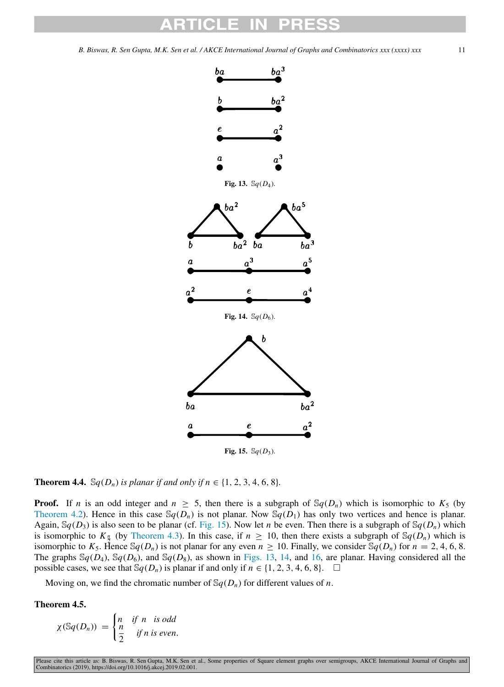<span id="page-10-1"></span>

<span id="page-10-2"></span><span id="page-10-0"></span>**Theorem 4.4.**  $\mathbb{S}_q(D_n)$  *is planar if and only if*  $n \in \{1, 2, 3, 4, 6, 8\}$ *.* 

**Proof.** If *n* is an odd integer and  $n \geq 5$ , then there is a subgraph of  $\mathbb{S}_q(D_n)$  which is isomorphic to  $K_5$  (by [Theorem](#page-9-0) [4.2](#page-9-0)). Hence in this case  $\mathbb{S}q(D_n)$  is not planar. Now  $\mathbb{S}q(D_1)$  has only two vertices and hence is planar. Again,  $\mathcal{S}q(D_3)$  is also seen to be planar (cf. [Fig.](#page-10-0) [15](#page-10-0)). Now let *n* be even. Then there is a subgraph of  $\mathcal{S}q(D_n)$  which is isomorphic to  $K_{\frac{n}{2}}$  (by [Theorem](#page-9-1) [4.3\)](#page-9-1). In this case, if  $n \ge 10$ , then there exists a subgraph of  $\mathcal{S}_q(D_n)$  which is isomorphic to  $K_5$ . Hence  $\mathbb{S}_q(D_n)$  is not planar for any even  $n \ge 10$ . Finally, we consider  $\mathbb{S}_q(D_n)$  for  $n = 2, 4, 6, 8$ . The graphs  $\mathcal{S}_q(D_4)$ ,  $\mathcal{S}_q(D_6)$ , and  $\mathcal{S}_q(D_8)$ , as shown in [Figs.](#page-10-1) [13,](#page-10-1) [14,](#page-10-2) and [16](#page-11-0), are planar. Having considered all the possible cases, we see that  $\mathbb{S}_q(D_n)$  is planar if and only if  $n \in \{1, 2, 3, 4, 6, 8\}$ . □

Moving on, we find the chromatic number of  $\mathcal{S}_q(D_n)$  for different values of *n*.

Theorem 4.5.

$$
\chi(\mathbb{S}q(D_n)) = \begin{cases} n & \text{if } n \text{ is odd} \\ \frac{n}{2} & \text{if } n \text{ is even.} \end{cases}
$$

Please cite this article as: B. Biswas, R. Sen Gupta, M.K. Sen et al., Some properties of Square element graphs over semigroups, AKCE International Journal of Graphs and<br>Combinatorics (2019), https://doi.org/10.1016/j.akce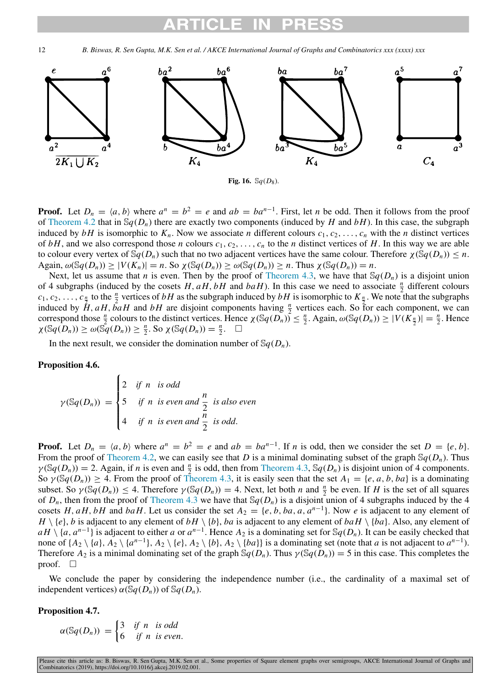12 *B. Biswas, R. Sen Gupta, M.K. Sen et al. / AKCE International Journal of Graphs and Combinatorics xxx (xxxx) xxx*



**Fig. 16.**  $\Im q(D_8)$ .

<span id="page-11-0"></span>**Proof.** Let  $D_n = \langle a, b \rangle$  where  $a^n = b^2 = e$  and  $ab = ba^{n-1}$ . First, let *n* be odd. Then it follows from the proof of [Theorem](#page-9-0) [4.2](#page-9-0) that in  $\mathbb{S}q(D_n)$  there are exactly two components (induced by *H* and *bH*). In this case, the subgraph induced by  $bH$  is isomorphic to  $K_n$ . Now we associate *n* different colours  $c_1, c_2, \ldots, c_n$  with the *n* distinct vertices of  $bH$ , and we also correspond those *n* colours  $c_1, c_2, \ldots, c_n$  to the *n* distinct vertices of *H*. In this way we are able to colour every vertex of  $\mathbb{S}q(D_n)$  such that no two adjacent vertices have the same colour. Therefore  $\chi(\mathbb{S}q(D_n)) \leq n$ .  $\Delta$ gain,  $\omega(\mathbb{S}q(D_n)) \ge |V(K_n)| = n$ . So  $\chi(\mathbb{S}q(D_n)) \ge \omega(\mathbb{S}q(D_n)) \ge n$ . Thus  $\chi(\mathbb{S}q(D_n)) = n$ .

Next, let us assume that *n* is even. Then by the proof of [Theorem](#page-9-1) [4.3,](#page-9-1) we have that  $\mathcal{S}_q(D_n)$  is a disjoint union of 4 subgraphs (induced by the cosets  $H$ ,  $aH$ ,  $bH$  and  $baH$ ). In this case we need to associate  $\frac{n}{2}$  different colours  $c_1, c_2, \ldots, c_{\frac{n}{2}}$  to the  $\frac{n}{2}$  vertices of *bH* as the subgraph induced by *bH* is isomorphic to  $K_{\frac{n}{2}}$ . We note that the subgraphs induced by  $H$ ,  $aH$ ,  $b aH$  and  $bH$  are disjoint components having  $\frac{n}{2}$  vertices each. So for each component, we can correspond those  $\frac{n}{2}$  colours to the distinct vertices. Hence  $\chi(\mathbb{S}q(D_n)) \leq \frac{n}{2}$ . Again,  $\omega(\mathbb{S}q(D_n)) \geq |V(K_{\frac{n}{2}})| = \frac{n}{2}$ . Hence  $\chi(\mathbb{S}q(D_n)) \ge \omega(\mathbb{S}q(D_n)) \ge \frac{n}{2}$ . So  $\chi(\mathbb{S}q(D_n)) = \frac{n}{2}$ .  $\Box$ 

In the next result, we consider the domination number of  $\mathcal{S}_q(D_n)$ .

### Proposition 4.6.

$$
\gamma(\mathbb{S}q(D_n)) = \begin{cases} 2 & \text{if } n \text{ is odd} \\ 5 & \text{if } n \text{ is even and } \frac{n}{2} \text{ is also even} \\ 4 & \text{if } n \text{ is even and } \frac{n}{2} \text{ is odd.} \end{cases}
$$

**Proof.** Let  $D_n = \langle a, b \rangle$  where  $a^n = b^2 = e$  and  $ab = ba^{n-1}$ . If *n* is odd, then we consider the set  $D = \{e, b\}$ . From the proof of [Theorem](#page-9-0) [4.2,](#page-9-0) we can easily see that *D* is a minimal dominating subset of the graph  $\mathcal{S}_q(D_n)$ . Thus  $\gamma(\mathbb{S}q(D_n)) = 2$ . Again, if *n* is even and  $\frac{n}{2}$  is odd, then from [Theorem](#page-9-1) [4.3,](#page-9-1)  $\mathbb{S}q(D_n)$  is disjoint union of 4 components. So  $\gamma(\mathcal{S}q(D_n)) \geq 4$ . From the proof of [Theorem](#page-9-1) [4.3,](#page-9-1) it is easily seen that the set  $A_1 = \{e, a, b, ba\}$  is a dominating subset. So  $\gamma(\mathbb{S}q(D_n)) \leq 4$ . Therefore  $\gamma(\mathbb{S}q(D_n)) = 4$ . Next, let both *n* and  $\frac{n}{2}$  be even. If *H* is the set of all squares of  $D_n$ , then from the proof of [Theorem](#page-9-1) [4.3](#page-9-1) we have that  $\mathcal{S}_q(D_n)$  is a disjoint union of 4 subgraphs induced by the 4 cosets *H*, *aH*, *bH* and *baH*. Let us consider the set  $A_2 = \{e, b, ba, a, a^{n-1}\}$ . Now *e* is adjacent to any element of  $H \setminus \{e\}$ , *b* is adjacent to any element of  $bH \setminus \{b\}$ , *ba* is adjacent to any element of  $baH \setminus \{ba\}$ . Also, any element of  $aH \setminus \{a, a^{n-1}\}$  is adjacent to either *a* or  $a^{n-1}$ . Hence  $A_2$  is a dominating set for S $q(D_n)$ . It can be easily checked that none of  $\{A_2 \setminus \{a\}, A_2 \setminus \{a^{n-1}\}, A_2 \setminus \{e\}, A_2 \setminus \{b\}, A_2 \setminus \{ba\}\}$  is a dominating set (note that *a* is not adjacent to  $a^{n-1}$ ). Therefore  $A_2$  is a minimal dominating set of the graph  $\mathbb{S}q(D_n)$ . Thus  $\gamma(\mathbb{S}q(D_n)) = 5$  in this case. This completes the proof.  $\square$ 

We conclude the paper by considering the independence number (i.e., the cardinality of a maximal set of independent vertices)  $\alpha(\mathbb{S}q(D_n))$  of  $\mathbb{S}q(D_n)$ .

### Proposition 4.7.

$$
\alpha(\mathbb{S}q(D_n)) = \begin{cases} 3 & \text{if } n \text{ is odd} \\ 6 & \text{if } n \text{ is even.} \end{cases}
$$

Please cite this article as: B. Biswas, R. Sen Gupta, M.K. Sen et al., Some properties of Square element graphs over semigroups, AKCE International Journal of Graphs and<br>Combinatorics (2019), https://doi.org/10.1016/j.akce